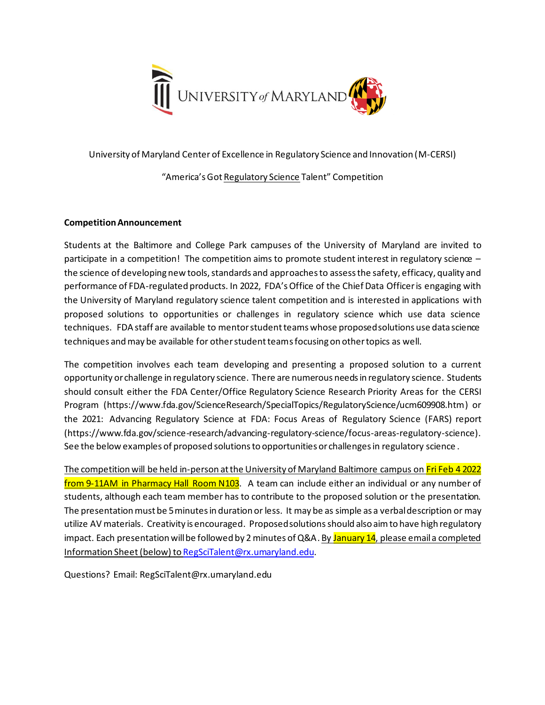

## University of Maryland Center of Excellence in Regulatory Science and Innovation (M-CERSI)

"America's Got Regulatory Science Talent" Competition

## **Competition Announcement**

Students at the Baltimore and College Park campuses of the University of Maryland are invited to participate in a competition! The competition aims to promote student interest in regulatory science – the science of developing new tools, standards and approaches to assess the safety, efficacy, quality and performance of FDA-regulated products. In 2022, FDA's Office of the Chief Data Officer is engaging with the University of Maryland regulatory science talent competition and is interested in applications with proposed solutions to opportunities or challenges in regulatory science which use data science techniques. FDA staff are available to mentor student teams whose proposed solutions use data science techniques and may be available for other student teams focusing on other topics as well.

The competition involves each team developing and presenting a proposed solution to a current opportunity or challenge in regulatory science. There are numerous needs in regulatory science. Students should consult either the FDA Center/Office Regulatory Science Research Priority Areas for the CERSI Program (https://www.fda.gov/ScienceResearch/SpecialTopics/RegulatoryScience/ucm609908.htm) or the 2021: Advancing Regulatory Science at FDA: Focus Areas of Regulatory Science (FARS) report (https://www.fda.gov/science-research/advancing-regulatory-science/focus-areas-regulatory-science). See the below examples of proposed solutions to opportunities or challenges in regulatory science .

The competition will be held in-person at the University of Maryland Baltimore campus on Fri Feb 4 2022 from 9-11AM in Pharmacy Hall Room N103. A team can include either an individual or any number of students, although each team member has to contribute to the proposed solution or the presentation. The presentation must be 5 minutes in duration or less. It may be as simple as a verbal description or may utilize AV materials. Creativity is encouraged. Proposed solutionsshould also aim to have high regulatory impact. Each presentation will be followed by 2 minutes of Q&A. By January 14, please email a completed Information Sheet (below) t[o RegSciTalent@rx.umaryland.edu.](mailto:RegSciTalent@rx.umaryland.edu)

Questions? Email: RegSciTalent@rx.umaryland.edu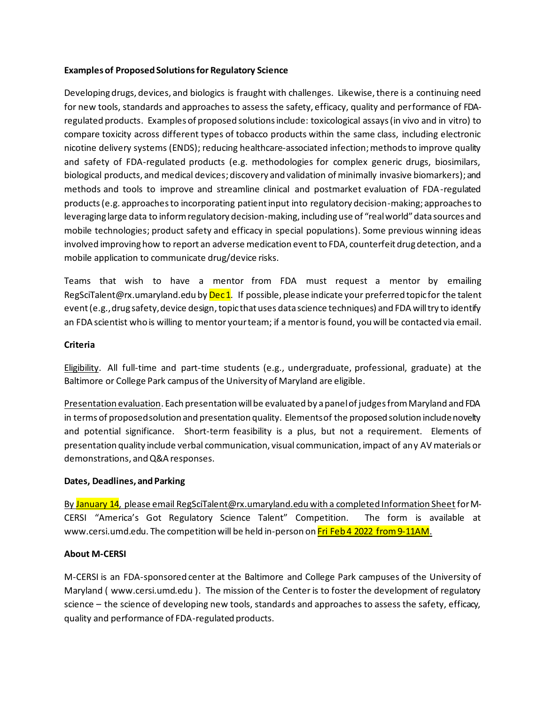## **Examples of Proposed Solutionsfor Regulatory Science**

Developing drugs, devices, and biologics is fraught with challenges. Likewise, there is a continuing need for new tools, standards and approaches to assess the safety, efficacy, quality and performance of FDAregulated products. Examples of proposed solutions include: toxicological assays (in vivo and in vitro) to compare toxicity across different types of tobacco products within the same class, including electronic nicotine delivery systems (ENDS); reducing healthcare-associated infection; methods to improve quality and safety of FDA-regulated products (e.g. methodologies for complex generic drugs, biosimilars, biological products, and medical devices; discovery and validation of minimally invasive biomarkers); and methods and tools to improve and streamline clinical and postmarket evaluation of FDA-regulated products(e.g. approaches to incorporating patient input into regulatory decision-making; approaches to leveraging large data to inform regulatory decision-making, including use of "real world" data sources and mobile technologies; product safety and efficacy in special populations). Some previous winning ideas involved improving how to report an adverse medication event to FDA, counterfeit drug detection, and a mobile application to communicate drug/device risks.

Teams that wish to have a mentor from FDA must request a mentor by emailing RegSciTalent@rx.umaryland.edu by  $\Delta$  Dec 1. If possible, please indicate your preferred topic for the talent event (e.g.,drug safety, device design, topic that uses data science techniques) and FDA will try to identify an FDA scientist who is willing to mentor your team; if a mentor is found, you will be contacted via email.

#### **Criteria**

Eligibility. All full-time and part-time students (e.g., undergraduate, professional, graduate) at the Baltimore or College Park campus of the University of Maryland are eligible.

Presentation evaluation. Each presentation will be evaluated by a panel of judges from Maryland and FDA in terms of proposed solution and presentation quality. Elements of the proposed solution include novelty and potential significance. Short-term feasibility is a plus, but not a requirement. Elements of presentation quality include verbal communication, visual communication, impact of any AV materials or demonstrations, and Q&A responses.

#### **Dates, Deadlines, and Parking**

By January 14, please email RegSciTalent@rx.umaryland.edu with a completed Information Sheet for M-CERSI "America's Got Regulatory Science Talent" Competition. The form is available at www.cersi.umd.edu. The competition will be held in-person on Fri Feb 4 2022 from 9-11AM.

#### **About M-CERSI**

M-CERSI is an FDA-sponsored center at the Baltimore and College Park campuses of the University of Maryland ( www.cersi.umd.edu ). The mission of the Center is to foster the development of regulatory science – the science of developing new tools, standards and approaches to assess the safety, efficacy, quality and performance of FDA-regulated products.